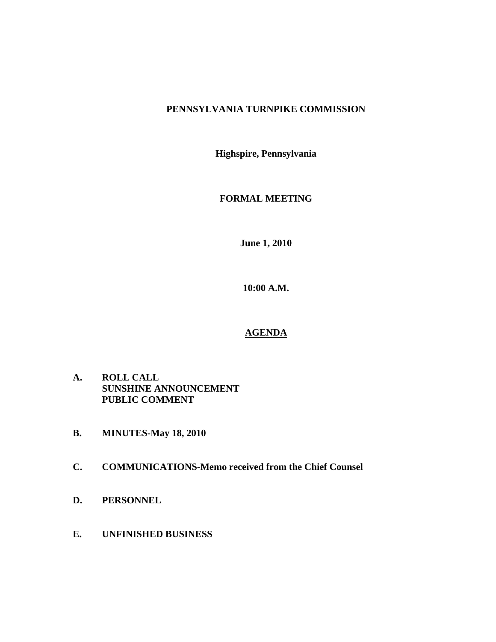# **PENNSYLVANIA TURNPIKE COMMISSION**

**Highspire, Pennsylvania** 

# **FORMAL MEETING**

**June 1, 2010** 

**10:00 A.M.** 

# **AGENDA**

- **A. ROLL CALL SUNSHINE ANNOUNCEMENT PUBLIC COMMENT**
- **B. MINUTES-May 18, 2010**
- **C. COMMUNICATIONS-Memo received from the Chief Counsel**
- **D. PERSONNEL**
- **E. UNFINISHED BUSINESS**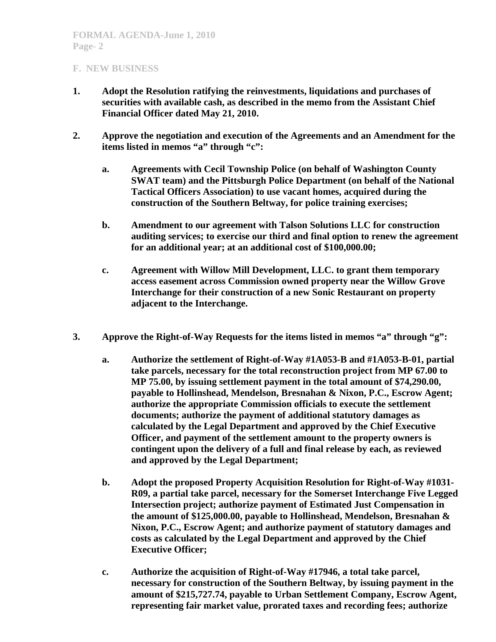#### **F. NEW BUSINESS**

- **1. Adopt the Resolution ratifying the reinvestments, liquidations and purchases of securities with available cash, as described in the memo from the Assistant Chief Financial Officer dated May 21, 2010.**
- **2. Approve the negotiation and execution of the Agreements and an Amendment for the items listed in memos "a" through "c":** 
	- **a. Agreements with Cecil Township Police (on behalf of Washington County SWAT team) and the Pittsburgh Police Department (on behalf of the National Tactical Officers Association) to use vacant homes, acquired during the construction of the Southern Beltway, for police training exercises;**
	- **b. Amendment to our agreement with Talson Solutions LLC for construction auditing services; to exercise our third and final option to renew the agreement for an additional year; at an additional cost of \$100,000.00;**
	- **c. Agreement with Willow Mill Development, LLC. to grant them temporary access easement across Commission owned property near the Willow Grove Interchange for their construction of a new Sonic Restaurant on property adjacent to the Interchange.**
- **3. Approve the Right-of-Way Requests for the items listed in memos "a" through "g":** 
	- **a. Authorize the settlement of Right-of-Way #1A053-B and #1A053-B-01, partial take parcels, necessary for the total reconstruction project from MP 67.00 to MP 75.00, by issuing settlement payment in the total amount of \$74,290.00, payable to Hollinshead, Mendelson, Bresnahan & Nixon, P.C., Escrow Agent; authorize the appropriate Commission officials to execute the settlement documents; authorize the payment of additional statutory damages as calculated by the Legal Department and approved by the Chief Executive Officer, and payment of the settlement amount to the property owners is contingent upon the delivery of a full and final release by each, as reviewed and approved by the Legal Department;**
	- **b. Adopt the proposed Property Acquisition Resolution for Right-of-Way #1031- R09, a partial take parcel, necessary for the Somerset Interchange Five Legged Intersection project; authorize payment of Estimated Just Compensation in the amount of \$125,000.00, payable to Hollinshead, Mendelson, Bresnahan & Nixon, P.C., Escrow Agent; and authorize payment of statutory damages and costs as calculated by the Legal Department and approved by the Chief Executive Officer;**
	- **c. Authorize the acquisition of Right-of-Way #17946, a total take parcel, necessary for construction of the Southern Beltway, by issuing payment in the amount of \$215,727.74, payable to Urban Settlement Company, Escrow Agent, representing fair market value, prorated taxes and recording fees; authorize**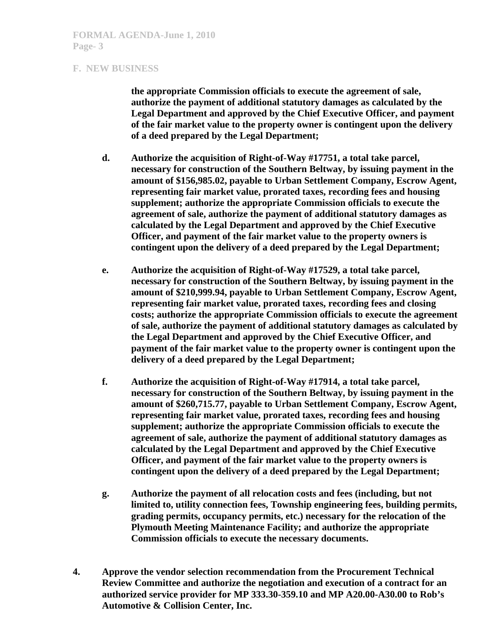#### **F. NEW BUSINESS**

**the appropriate Commission officials to execute the agreement of sale, authorize the payment of additional statutory damages as calculated by the Legal Department and approved by the Chief Executive Officer, and payment of the fair market value to the property owner is contingent upon the delivery of a deed prepared by the Legal Department;** 

- **d. Authorize the acquisition of Right-of-Way #17751, a total take parcel, necessary for construction of the Southern Beltway, by issuing payment in the amount of \$156,985.02, payable to Urban Settlement Company, Escrow Agent, representing fair market value, prorated taxes, recording fees and housing supplement; authorize the appropriate Commission officials to execute the agreement of sale, authorize the payment of additional statutory damages as calculated by the Legal Department and approved by the Chief Executive Officer, and payment of the fair market value to the property owners is contingent upon the delivery of a deed prepared by the Legal Department;**
- **e. Authorize the acquisition of Right-of-Way #17529, a total take parcel, necessary for construction of the Southern Beltway, by issuing payment in the amount of \$210,999.94, payable to Urban Settlement Company, Escrow Agent, representing fair market value, prorated taxes, recording fees and closing costs; authorize the appropriate Commission officials to execute the agreement of sale, authorize the payment of additional statutory damages as calculated by the Legal Department and approved by the Chief Executive Officer, and payment of the fair market value to the property owner is contingent upon the delivery of a deed prepared by the Legal Department;**
- **f. Authorize the acquisition of Right-of-Way #17914, a total take parcel, necessary for construction of the Southern Beltway, by issuing payment in the amount of \$260,715.77, payable to Urban Settlement Company, Escrow Agent, representing fair market value, prorated taxes, recording fees and housing supplement; authorize the appropriate Commission officials to execute the agreement of sale, authorize the payment of additional statutory damages as calculated by the Legal Department and approved by the Chief Executive Officer, and payment of the fair market value to the property owners is contingent upon the delivery of a deed prepared by the Legal Department;**
- **g. Authorize the payment of all relocation costs and fees (including, but not limited to, utility connection fees, Township engineering fees, building permits, grading permits, occupancy permits, etc.) necessary for the relocation of the Plymouth Meeting Maintenance Facility; and authorize the appropriate Commission officials to execute the necessary documents.**
- **4. Approve the vendor selection recommendation from the Procurement Technical Review Committee and authorize the negotiation and execution of a contract for an authorized service provider for MP 333.30-359.10 and MP A20.00-A30.00 to Rob's Automotive & Collision Center, Inc.**